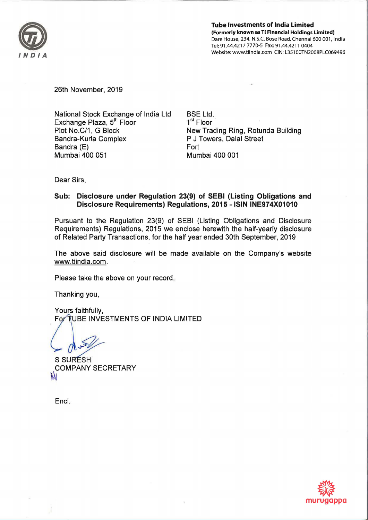

Tube Investments of India Limited (Formerly known as Tl Financial Holdings Limited) Dare House, 234, N.S.C. Bose Road, Chennai 600 001, India Tel: 91.44.4217 7770-5 Fax: 91.44.4211 0404 Website: www.tiindia.com CIN: L351 OOTN2008PLC069496

26th November, 2019

National Stock Exchange of India Ltd Exchange Plaza, 5<sup>th</sup> Floor Plot No.C/1, G Block Bandra-Kurla Complex Bandra (E) Mumbai 400 051

BSE Ltd. 1<sup>st</sup> Floor New Trading Ring, Rotunda Building P J Towers, Dalal Street Fort Mumbai 400 001

Dear Sirs,

# Sub: Disclosure under Regulation 23(9) of SEBI (Listing Obligations and Disclosure Requirements) Requlations, 2015 - ISIN INE974X01010

Pursuant to the Regulation 23(9) of SEBI (Listing Obligations and Disclosure Requirements) Regulations, 2015 we enclose herewith the half-yearly disclosure of Related Party Transactions, for the half year ended 30th September, 2019

The above said disclosure will be made available on the Company's website www.tiindia.com.

Please take the above on your record.

Thanking you,

Yours faithfully, For TUBE INVESTMENTS OF INDIA LIMITED

**S SURESH COMPANY SECRETARY** 

Encl.

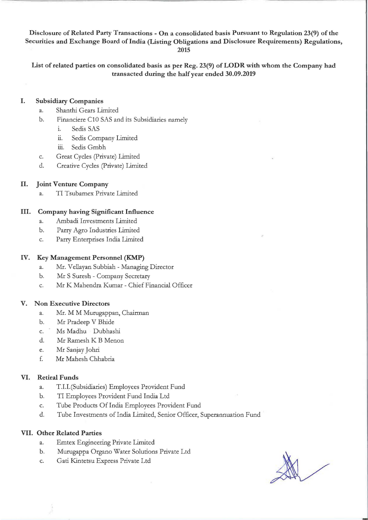Disclosure of Related Party Transactions - On a consolidated basis Pursuant to Regulation 23(9) of the Securities and Exchange Board of India (Listing Obligations and Disclosure Requirements) Regulations, 2015

List of related parties on consolidated basis as per Reg. 23(9) of LODR with whom the Company had transacted during the half year ended 30.09.2019

## I. Subsidiary Companies

- a. Shanthi Gears Limited
- b. Financiere ClO SAS and its Subsidiaries namely
	- 1. Sedis SAS
	- ii. Sedis Company Limited
	- iii. Sedis Gmbh
- c. Great Cycles (Private) Limited
- d. Creative Cycles (Private) Limited

## II. Joint Venture Company

a. TI Tsubamex Private Limited

## III. Company having Significant Influence

- a. Ambadi Investments Limited
- b. Parry Agro Industries Limited
- c. Parry Enterprises India Limited

### IV. Key Management Personnel (KMP)

- a. Mr. Vellayan Subbiah Managing Director
- b. Mr S Suresh Company Secretary
- c. Mr K Mahendra Kumar Chief Financial Officer

### V. Non Executive Directors

- a. Mr. M M Murugappan, Chairman
- b. Mr Pradeep V Bhide
- c. Ms Madhu Dubhashi
- d. Mr Ramesh K B Menon
- e. Mr Sanjay Johri
- f. Mr Mahesh Chhabria

### VI. Retiral Funds

- a. T.I.I.(Subsidiaries) Employees Provident Fund
- b. TI Employees Provident Fund India Ltd
- c. Tube Products Of India Employees Provident Fund
- d. Tube Investments of India Limited, Senior Officer, Superannuation Fund

### VII. Other Related Parties

- a. Emtex Engineering Private Limited
- b. Murugappa Organa Water Solutions Private Ltd
- c. Gati Kintetsu Express Private Ltd